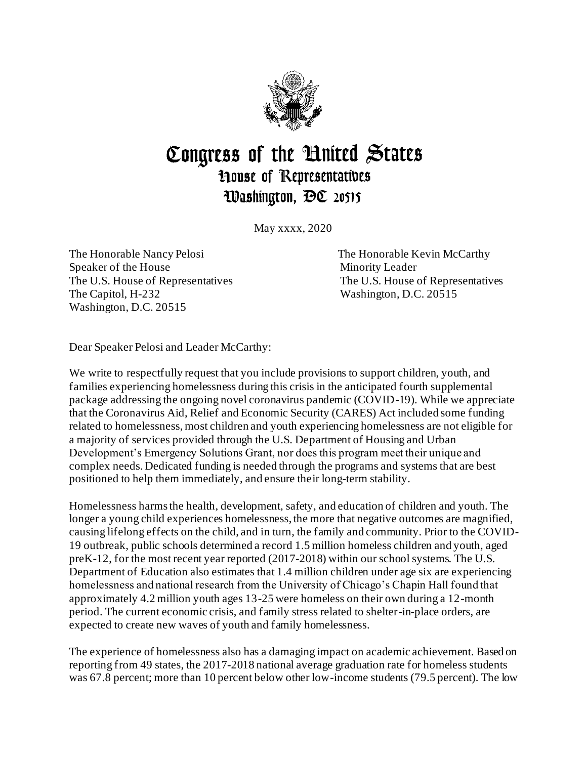

## Congress of the United States **House of Representatives** Washington, DC 20515

May xxxx, 2020

The Honorable Nancy Pelosi **The Honorable Kevin McCarthy** Speaker of the House Minority Leader The U.S. House of Representatives The U.S. House of Representatives The Capitol, H-232 Washington, D.C. 20515 Washington, D.C. 20515

Dear Speaker Pelosi and Leader McCarthy:

We write to respectfully request that you include provisions to support children, youth, and families experiencing homelessness during this crisis in the anticipated fourth supplemental package addressing the ongoing novel coronavirus pandemic (COVID-19). While we appreciate that the Coronavirus Aid, Relief and Economic Security (CARES) Act included some funding related to homelessness, most children and youth experiencing homelessness are not eligible for a majority of services provided through the U.S. Department of Housing and Urban Development's Emergency Solutions Grant, nor does this program meet their unique and complex needs. Dedicated funding is needed through the programs and systems that are best positioned to help them immediately, and ensure their long-term stability.

Homelessness harms the health, development, safety, and education of children and youth. The longer a young child experiences homelessness, the more that negative outcomes are magnified, causing lifelong effects on the child, and in turn, the family and community. Prior to the COVID-19 outbreak, public schools determined a record 1.5 million homeless children and youth, aged preK-12, for the most recent year reported (2017-2018) within our school systems. The U.S. Department of Education also estimates that 1.4 million children under age six are experiencing homelessness and national research from the University of Chicago's Chapin Hall found that approximately 4.2 million youth ages 13-25 were homeless on their own during a 12-month period. The current economic crisis, and family stress related to shelter-in-place orders, are expected to create new waves of youth and family homelessness.

The experience of homelessness also has a damaging impact on academic achievement. Based on reporting from 49 states, the 2017-2018 national average graduation rate for homeless students was 67.8 percent; more than 10 percent below other low-income students (79.5 percent). The low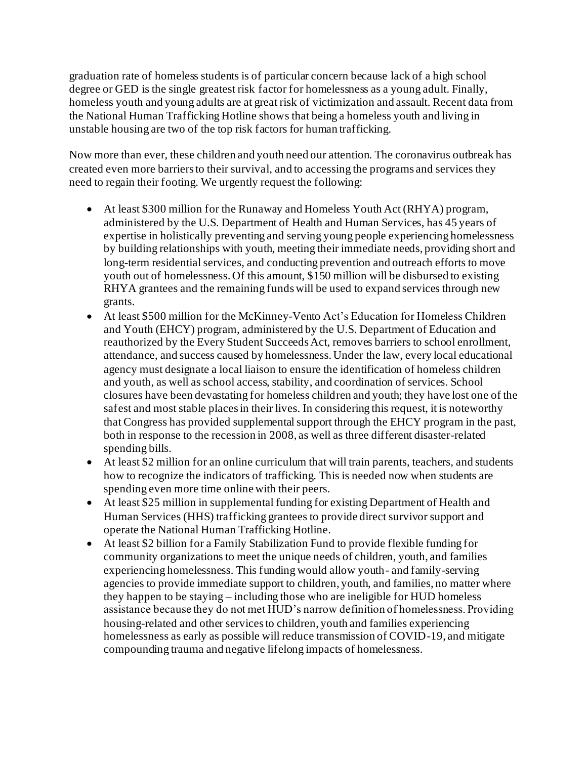graduation rate of homeless students is of particular concern because lack of a high school degree or GED is the single greatest risk factor for homelessness as a young adult. Finally, homeless youth and young adults are at great risk of victimization and assault. Recent data from the National Human Trafficking Hotline shows that being a homeless youth and living in unstable housing are two of the top risk factors for human trafficking.

Now more than ever, these children and youth need our attention. The coronavirus outbreak has created even more barriers to their survival, and to accessing the programs and services they need to regain their footing. We urgently request the following:

- At least \$300 million for the Runaway and Homeless Youth Act (RHYA) program, administered by the U.S. Department of Health and Human Services, has 45 years of expertise in holistically preventing and serving young people experiencing homelessness by building relationships with youth, meeting their immediate needs, providing short and long-term residential services, and conducting prevention and outreach efforts to move youth out of homelessness. Of this amount, \$150 million will be disbursed to existing RHYA grantees and the remaining funds will be used to expand services through new grants.
- At least \$500 million for the McKinney-Vento Act's Education for Homeless Children and Youth (EHCY) program, administered by the U.S. Department of Education and reauthorized by the Every Student Succeeds Act, removes barriers to school enrollment, attendance, and success caused by homelessness. Under the law, every local educational agency must designate a local liaison to ensure the identification of homeless children and youth, as well as school access, stability, and coordination of services. School closures have been devastating for homeless children and youth; they have lost one of the safest and most stable places in their lives. In considering this request, it is noteworthy that Congress has provided supplemental support through the EHCY program in the past, both in response to the recession in 2008, as well as three different disaster-related spending bills.
- At least \$2 million for an online curriculum that will train parents, teachers, and students how to recognize the indicators of trafficking. This is needed now when students are spending even more time online with their peers.
- At least \$25 million in supplemental funding for existing Department of Health and Human Services (HHS) trafficking grantees to provide direct survivor support and operate the National Human Trafficking Hotline.
- At least \$2 billion for a Family Stabilization Fund to provide flexible funding for community organizations to meet the unique needs of children, youth, and families experiencing homelessness. This funding would allow youth- and family-serving agencies to provide immediate support to children, youth, and families, no matter where they happen to be staying – including those who are ineligible for HUD homeless assistance because they do not met HUD's narrow definition of homelessness. Providing housing-related and other services to children, youth and families experiencing homelessness as early as possible will reduce transmission of COVID-19, and mitigate compounding trauma and negative lifelong impacts of homelessness.